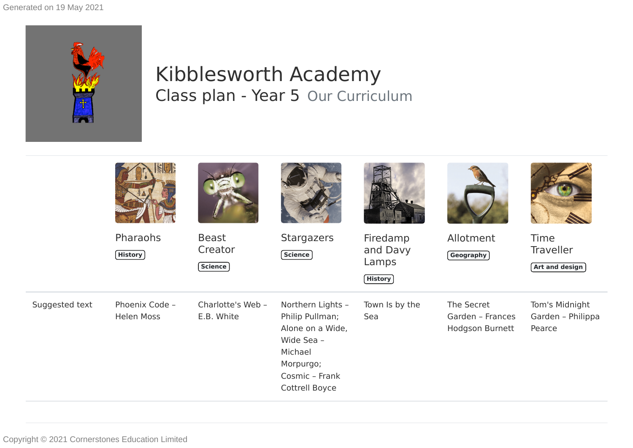Generated on 19 May 2021



## Kibblesworth Academy Class plan - Year 5 Our Curriculum

|                | SUE                                 |                                            |                                                                                                                                    |                                                  |                                                   |                                                   |
|----------------|-------------------------------------|--------------------------------------------|------------------------------------------------------------------------------------------------------------------------------------|--------------------------------------------------|---------------------------------------------------|---------------------------------------------------|
|                | Pharaohs<br><b>History</b>          | <b>Beast</b><br>Creator<br>$($ Science $)$ | <b>Stargazers</b><br>Science                                                                                                       | Firedamp<br>and Davy<br>Lamps<br>$($ History $)$ | Allotment<br>Geography                            | Time<br><b>Traveller</b><br><b>Art and design</b> |
| Suggested text | Phoenix Code -<br><b>Helen Moss</b> | Charlotte's Web -<br>E.B. White            | Northern Lights -<br>Philip Pullman;<br>Alone on a Wide,<br>Wide Sea -<br>Michael<br>Morpurgo;<br>Cosmic - Frank<br>Cottrell Boyce | Town Is by the<br>Sea                            | The Secret<br>Garden - Frances<br>Hodgson Burnett | Tom's Midnight<br>Garden - Philippa<br>Pearce     |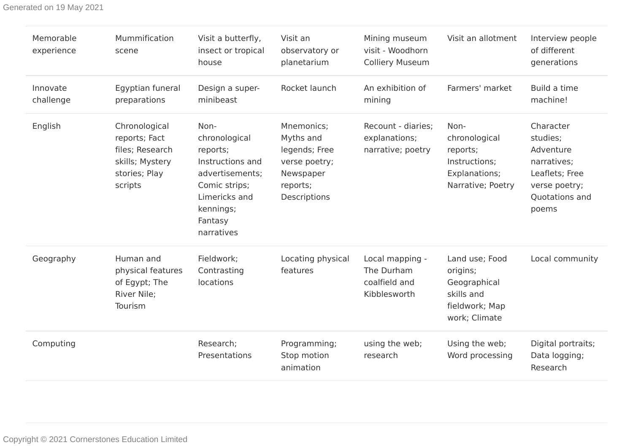Generated on 19 May 2021

| Memorable<br>experience | Mummification<br>scene                                                                           | Visit a butterfly,<br>insect or tropical<br>house                                                                                                | Visit an<br>observatory or<br>planetarium                                                          | Mining museum<br>visit - Woodhorn<br><b>Colliery Museum</b>    | Visit an allotment                                                                          | Interview people<br>of different<br>generations                                                                 |
|-------------------------|--------------------------------------------------------------------------------------------------|--------------------------------------------------------------------------------------------------------------------------------------------------|----------------------------------------------------------------------------------------------------|----------------------------------------------------------------|---------------------------------------------------------------------------------------------|-----------------------------------------------------------------------------------------------------------------|
| Innovate<br>challenge   | Egyptian funeral<br>preparations                                                                 | Design a super-<br>minibeast                                                                                                                     | Rocket launch                                                                                      | An exhibition of<br>mining                                     | Farmers' market                                                                             | Build a time<br>machine!                                                                                        |
| English                 | Chronological<br>reports; Fact<br>files; Research<br>skills; Mystery<br>stories; Play<br>scripts | Non-<br>chronological<br>reports;<br>Instructions and<br>advertisements;<br>Comic strips;<br>Limericks and<br>kennings;<br>Fantasy<br>narratives | Mnemonics;<br>Myths and<br>legends; Free<br>verse poetry;<br>Newspaper<br>reports;<br>Descriptions | Recount - diaries;<br>explanations;<br>narrative; poetry       | Non-<br>chronological<br>reports;<br>Instructions;<br>Explanations;<br>Narrative; Poetry    | Character<br>studies;<br>Adventure<br>narratives;<br>Leaflets; Free<br>verse poetry;<br>Quotations and<br>poems |
| Geography               | Human and<br>physical features<br>of Egypt; The<br>River Nile;<br>Tourism                        | Fieldwork;<br>Contrasting<br>locations                                                                                                           | Locating physical<br>features                                                                      | Local mapping -<br>The Durham<br>coalfield and<br>Kibblesworth | Land use; Food<br>origins;<br>Geographical<br>skills and<br>fieldwork; Map<br>work; Climate | Local community                                                                                                 |
| Computing               |                                                                                                  | Research;<br>Presentations                                                                                                                       | Programming;<br>Stop motion<br>animation                                                           | using the web;<br>research                                     | Using the web;<br>Word processing                                                           | Digital portraits;<br>Data logging;<br>Research                                                                 |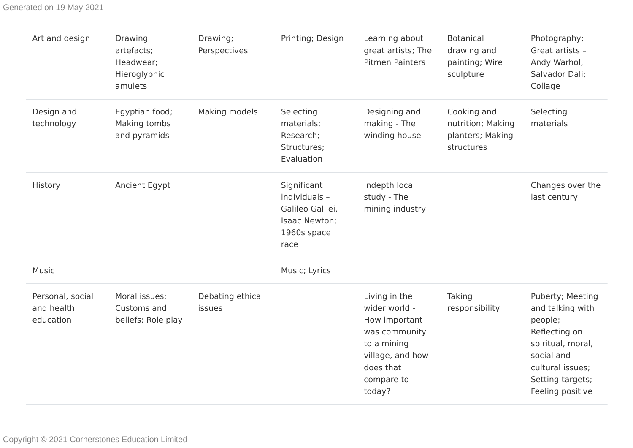Generated on 19 May 2021

| Art and design                              | Drawing<br>artefacts;<br>Headwear;<br>Hieroglyphic<br>amulets | Drawing;<br>Perspectives   | Printing; Design                                                                         | Learning about<br>great artists; The<br><b>Pitmen Painters</b>                                                                           | <b>Botanical</b><br>drawing and<br>painting; Wire<br>sculpture     | Photography;<br>Great artists -<br>Andy Warhol,<br>Salvador Dali;<br>Collage                                                                                    |
|---------------------------------------------|---------------------------------------------------------------|----------------------------|------------------------------------------------------------------------------------------|------------------------------------------------------------------------------------------------------------------------------------------|--------------------------------------------------------------------|-----------------------------------------------------------------------------------------------------------------------------------------------------------------|
| Design and<br>technology                    | Egyptian food;<br>Making tombs<br>and pyramids                | Making models              | Selecting<br>materials;<br>Research;<br>Structures;<br>Evaluation                        | Designing and<br>making - The<br>winding house                                                                                           | Cooking and<br>nutrition; Making<br>planters; Making<br>structures | Selecting<br>materials                                                                                                                                          |
| History                                     | Ancient Egypt                                                 |                            | Significant<br>individuals -<br>Galileo Galilei,<br>Isaac Newton;<br>1960s space<br>race | Indepth local<br>study - The<br>mining industry                                                                                          |                                                                    | Changes over the<br>last century                                                                                                                                |
| <b>Music</b>                                |                                                               |                            | Music; Lyrics                                                                            |                                                                                                                                          |                                                                    |                                                                                                                                                                 |
| Personal, social<br>and health<br>education | Moral issues;<br>Customs and<br>beliefs; Role play            | Debating ethical<br>issues |                                                                                          | Living in the<br>wider world -<br>How important<br>was community<br>to a mining<br>village, and how<br>does that<br>compare to<br>today? | Taking<br>responsibility                                           | Puberty; Meeting<br>and talking with<br>people;<br>Reflecting on<br>spiritual, moral,<br>social and<br>cultural issues;<br>Setting targets;<br>Feeling positive |